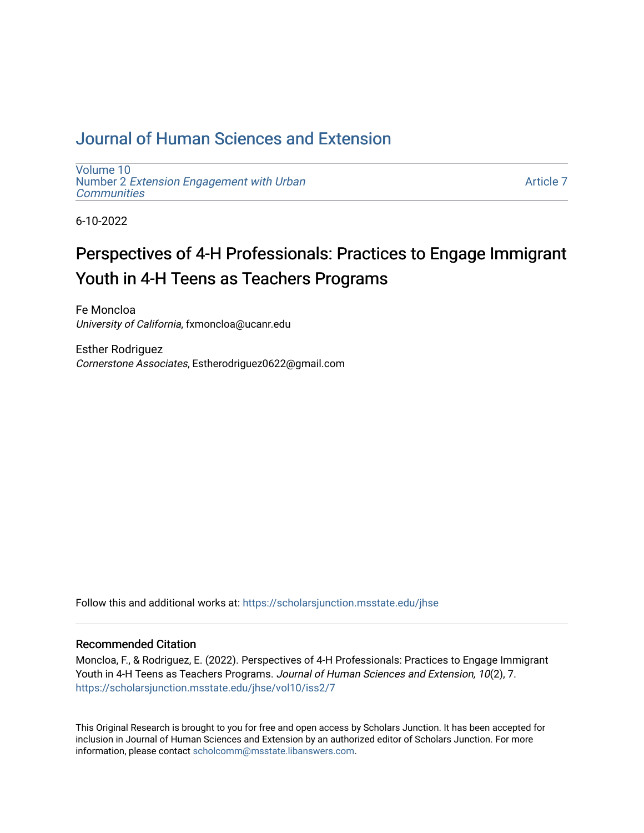## [Journal of Human Sciences and Extension](https://scholarsjunction.msstate.edu/jhse)

[Volume 10](https://scholarsjunction.msstate.edu/jhse/vol10) Number 2 [Extension Engagement with Urban](https://scholarsjunction.msstate.edu/jhse/vol10/iss2) **[Communities](https://scholarsjunction.msstate.edu/jhse/vol10/iss2)** 

[Article 7](https://scholarsjunction.msstate.edu/jhse/vol10/iss2/7) 

6-10-2022

# Perspectives of 4-H Professionals: Practices to Engage Immigrant Youth in 4-H Teens as Teachers Programs

Fe Moncloa University of California, fxmoncloa@ucanr.edu

Esther Rodriguez Cornerstone Associates, Estherodriguez0622@gmail.com

Follow this and additional works at: [https://scholarsjunction.msstate.edu/jhse](https://scholarsjunction.msstate.edu/jhse?utm_source=scholarsjunction.msstate.edu%2Fjhse%2Fvol10%2Fiss2%2F7&utm_medium=PDF&utm_campaign=PDFCoverPages)

#### Recommended Citation

Moncloa, F., & Rodriguez, E. (2022). Perspectives of 4-H Professionals: Practices to Engage Immigrant Youth in 4-H Teens as Teachers Programs. Journal of Human Sciences and Extension, 10(2), 7. [https://scholarsjunction.msstate.edu/jhse/vol10/iss2/7](https://scholarsjunction.msstate.edu/jhse/vol10/iss2/7?utm_source=scholarsjunction.msstate.edu%2Fjhse%2Fvol10%2Fiss2%2F7&utm_medium=PDF&utm_campaign=PDFCoverPages) 

This Original Research is brought to you for free and open access by Scholars Junction. It has been accepted for inclusion in Journal of Human Sciences and Extension by an authorized editor of Scholars Junction. For more information, please contact [scholcomm@msstate.libanswers.com](mailto:scholcomm@msstate.libanswers.com).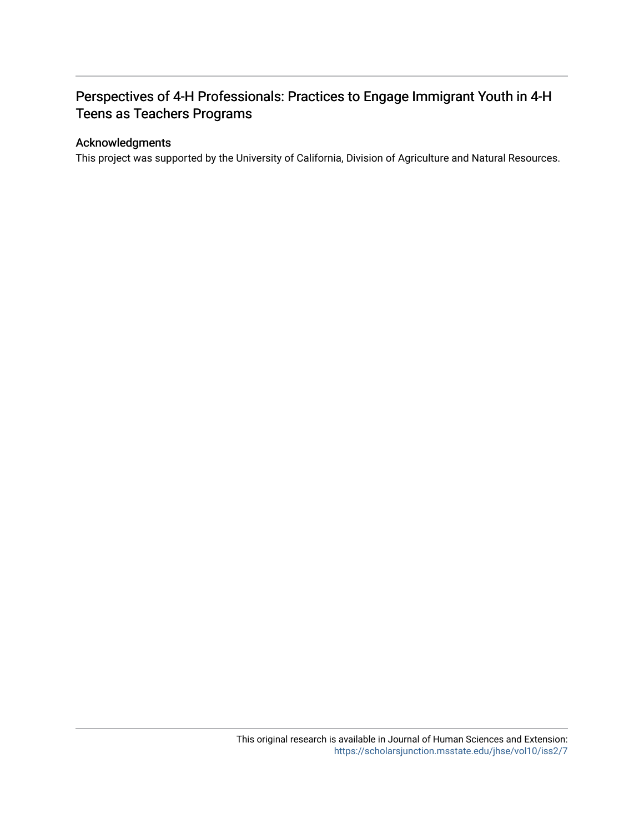## Perspectives of 4-H Professionals: Practices to Engage Immigrant Youth in 4-H Teens as Teachers Programs

## Acknowledgments

This project was supported by the University of California, Division of Agriculture and Natural Resources.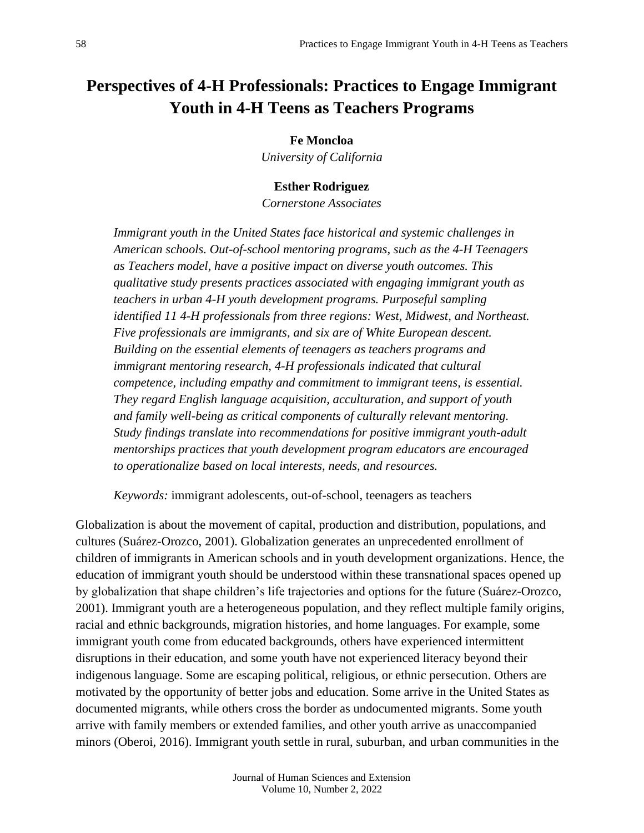## **Perspectives of 4-H Professionals: Practices to Engage Immigrant Youth in 4-H Teens as Teachers Programs**

**Fe Moncloa**

*University of California*

#### **Esther Rodriguez**

*Cornerstone Associates*

*Immigrant youth in the United States face historical and systemic challenges in American schools. Out-of-school mentoring programs, such as the 4-H Teenagers as Teachers model, have a positive impact on diverse youth outcomes. This qualitative study presents practices associated with engaging immigrant youth as teachers in urban 4-H youth development programs. Purposeful sampling identified 11 4-H professionals from three regions: West, Midwest, and Northeast. Five professionals are immigrants, and six are of White European descent. Building on the essential elements of teenagers as teachers programs and immigrant mentoring research, 4-H professionals indicated that cultural competence, including empathy and commitment to immigrant teens, is essential. They regard English language acquisition, acculturation, and support of youth and family well-being as critical components of culturally relevant mentoring. Study findings translate into recommendations for positive immigrant youth-adult mentorships practices that youth development program educators are encouraged to operationalize based on local interests, needs, and resources.* 

*Keywords:* immigrant adolescents, out-of-school, teenagers as teachers

Globalization is about the movement of capital, production and distribution, populations, and cultures (Suárez-Orozco, 2001). Globalization generates an unprecedented enrollment of children of immigrants in American schools and in youth development organizations. Hence, the education of immigrant youth should be understood within these transnational spaces opened up by globalization that shape children's life trajectories and options for the future (Suárez-Orozco, 2001). Immigrant youth are a heterogeneous population, and they reflect multiple family origins, racial and ethnic backgrounds, migration histories, and home languages. For example, some immigrant youth come from educated backgrounds, others have experienced intermittent disruptions in their education, and some youth have not experienced literacy beyond their indigenous language. Some are escaping political, religious, or ethnic persecution. Others are motivated by the opportunity of better jobs and education. Some arrive in the United States as documented migrants, while others cross the border as undocumented migrants. Some youth arrive with family members or extended families, and other youth arrive as unaccompanied minors (Oberoi, 2016). Immigrant youth settle in rural, suburban, and urban communities in the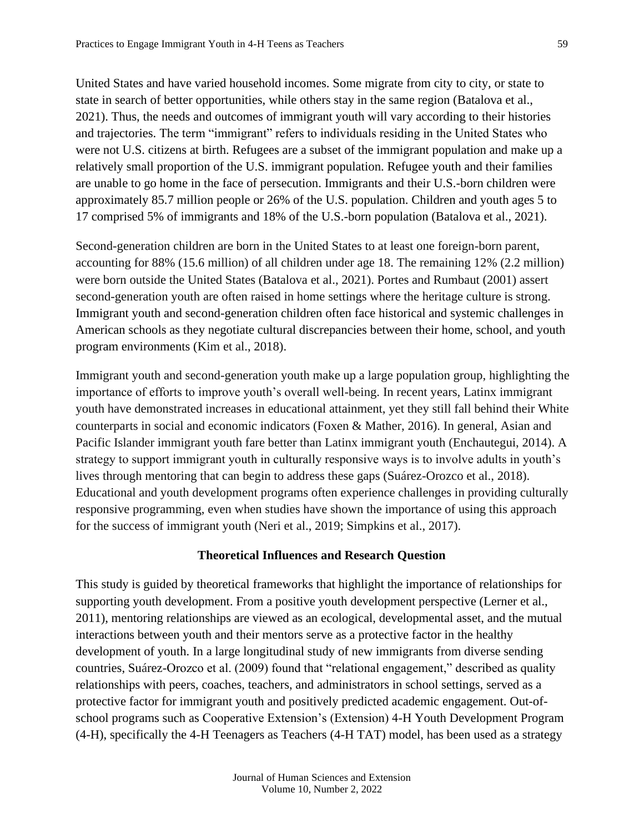United States and have varied household incomes. Some migrate from city to city, or state to state in search of better opportunities, while others stay in the same region (Batalova et al., 2021). Thus, the needs and outcomes of immigrant youth will vary according to their histories and trajectories. The term "immigrant" refers to individuals residing in the United States who were not U.S. citizens at birth. Refugees are a subset of the immigrant population and make up a relatively small proportion of the U.S. immigrant population. Refugee youth and their families are unable to go home in the face of persecution. Immigrants and their U.S.-born children were approximately 85.7 million people or 26% of the U.S. population. Children and youth ages 5 to 17 comprised 5% of immigrants and 18% of the U.S.-born population (Batalova et al., 2021).

Second-generation children are born in the United States to at least one foreign-born parent, accounting for 88% (15.6 million) of all children under age 18. The remaining 12% (2.2 million) were born outside the United States (Batalova et al., 2021). Portes and Rumbaut (2001) assert second-generation youth are often raised in home settings where the heritage culture is strong. Immigrant youth and second-generation children often face historical and systemic challenges in American schools as they negotiate cultural discrepancies between their home, school, and youth program environments (Kim et al., 2018).

Immigrant youth and second-generation youth make up a large population group, highlighting the importance of efforts to improve youth's overall well-being. In recent years, Latinx immigrant youth have demonstrated increases in educational attainment, yet they still fall behind their White counterparts in social and economic indicators (Foxen & Mather, 2016). In general, Asian and Pacific Islander immigrant youth fare better than Latinx immigrant youth (Enchautegui, 2014). A strategy to support immigrant youth in culturally responsive ways is to involve adults in youth's lives through mentoring that can begin to address these gaps (Suárez-Orozco et al., 2018). Educational and youth development programs often experience challenges in providing culturally responsive programming, even when studies have shown the importance of using this approach for the success of immigrant youth (Neri et al., 2019; Simpkins et al., 2017).

#### **Theoretical Influences and Research Question**

This study is guided by theoretical frameworks that highlight the importance of relationships for supporting youth development. From a positive youth development perspective (Lerner et al., 2011), mentoring relationships are viewed as an ecological, developmental asset, and the mutual interactions between youth and their mentors serve as a protective factor in the healthy development of youth. In a large longitudinal study of new immigrants from diverse sending countries, Suárez-Orozco et al. (2009) found that "relational engagement," described as quality relationships with peers, coaches, teachers, and administrators in school settings, served as a protective factor for immigrant youth and positively predicted academic engagement. Out-ofschool programs such as Cooperative Extension's (Extension) 4-H Youth Development Program (4-H), specifically the 4-H Teenagers as Teachers (4-H TAT) model, has been used as a strategy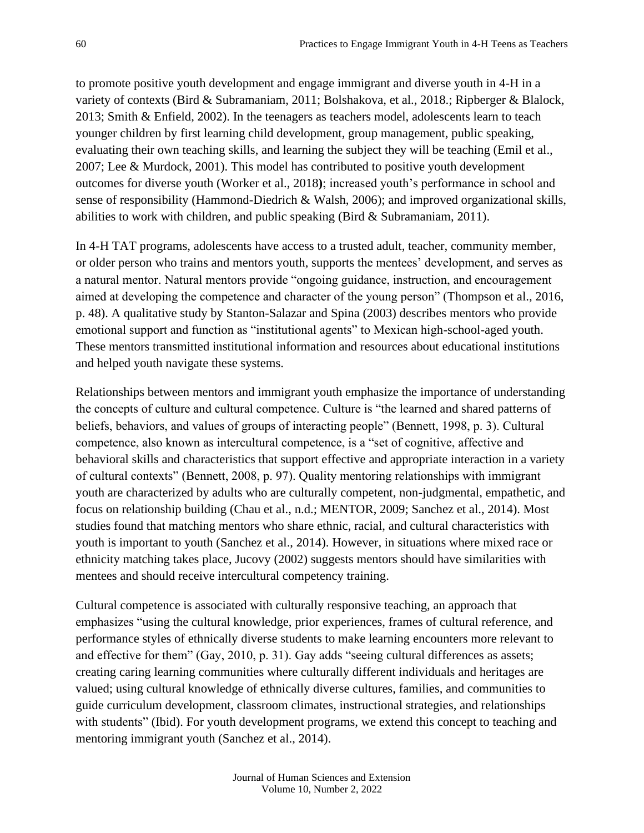to promote positive youth development and engage immigrant and diverse youth in 4-H in a variety of contexts (Bird & Subramaniam, 2011; Bolshakova, et al., 2018.; Ripberger & Blalock, 2013; Smith & Enfield, 2002). In the teenagers as teachers model, adolescents learn to teach younger children by first learning child development, group management, public speaking, evaluating their own teaching skills, and learning the subject they will be teaching (Emil et al., 2007; Lee & Murdock, 2001). This model has contributed to positive youth development outcomes for diverse youth (Worker et al., 2018**)**; increased youth's performance in school and sense of responsibility (Hammond-Diedrich & Walsh, 2006); and improved organizational skills, abilities to work with children, and public speaking (Bird & Subramaniam, 2011).

In 4-H TAT programs, adolescents have access to a trusted adult, teacher, community member, or older person who trains and mentors youth, supports the mentees' development, and serves as a natural mentor. Natural mentors provide "ongoing guidance, instruction, and encouragement aimed at developing the competence and character of the young person" (Thompson et al., 2016, p. 48). A qualitative study by Stanton-Salazar and Spina (2003) describes mentors who provide emotional support and function as "institutional agents" to Mexican high-school-aged youth. These mentors transmitted institutional information and resources about educational institutions and helped youth navigate these systems.

Relationships between mentors and immigrant youth emphasize the importance of understanding the concepts of culture and cultural competence. Culture is "the learned and shared patterns of beliefs, behaviors, and values of groups of interacting people" (Bennett, 1998, p. 3). Cultural competence, also known as intercultural competence, is a "set of cognitive, affective and behavioral skills and characteristics that support effective and appropriate interaction in a variety of cultural contexts" (Bennett, 2008, p. 97). Quality mentoring relationships with immigrant youth are characterized by adults who are culturally competent, non-judgmental, empathetic, and focus on relationship building (Chau et al., n.d.; MENTOR, 2009; Sanchez et al., 2014). Most studies found that matching mentors who share ethnic, racial, and cultural characteristics with youth is important to youth (Sanchez et al., 2014). However, in situations where mixed race or ethnicity matching takes place, Jucovy (2002) suggests mentors should have similarities with mentees and should receive intercultural competency training.

Cultural competence is associated with culturally responsive teaching, an approach that emphasizes "using the cultural knowledge, prior experiences, frames of cultural reference, and performance styles of ethnically diverse students to make learning encounters more relevant to and effective for them" (Gay, 2010, p. 31). Gay adds "seeing cultural differences as assets; creating caring learning communities where culturally different individuals and heritages are valued; using cultural knowledge of ethnically diverse cultures, families, and communities to guide curriculum development, classroom climates, instructional strategies, and relationships with students" (Ibid). For youth development programs, we extend this concept to teaching and mentoring immigrant youth (Sanchez et al., 2014).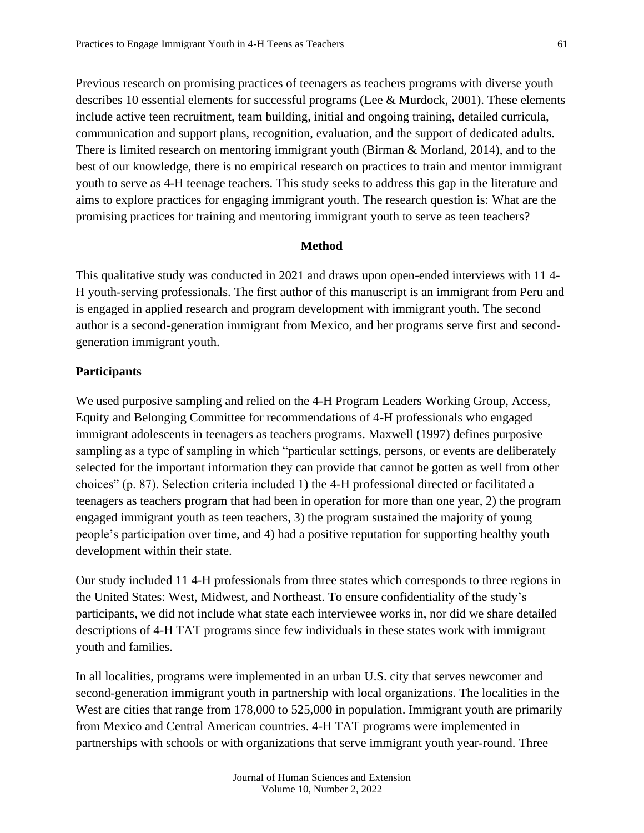Previous research on promising practices of teenagers as teachers programs with diverse youth describes 10 essential elements for successful programs (Lee & Murdock, 2001). These elements include active teen recruitment, team building, initial and ongoing training, detailed curricula, communication and support plans, recognition, evaluation, and the support of dedicated adults. There is limited research on mentoring immigrant youth (Birman & Morland, 2014), and to the best of our knowledge, there is no empirical research on practices to train and mentor immigrant youth to serve as 4-H teenage teachers. This study seeks to address this gap in the literature and aims to explore practices for engaging immigrant youth. The research question is: What are the promising practices for training and mentoring immigrant youth to serve as teen teachers?

#### **Method**

This qualitative study was conducted in 2021 and draws upon open-ended interviews with 11 4- H youth-serving professionals. The first author of this manuscript is an immigrant from Peru and is engaged in applied research and program development with immigrant youth. The second author is a second-generation immigrant from Mexico, and her programs serve first and secondgeneration immigrant youth.

#### **Participants**

We used purposive sampling and relied on the 4-H Program Leaders Working Group, Access, Equity and Belonging Committee for recommendations of 4-H professionals who engaged immigrant adolescents in teenagers as teachers programs. Maxwell (1997) defines purposive sampling as a type of sampling in which "particular settings, persons, or events are deliberately selected for the important information they can provide that cannot be gotten as well from other choices" (p. 87). Selection criteria included 1) the 4-H professional directed or facilitated a teenagers as teachers program that had been in operation for more than one year, 2) the program engaged immigrant youth as teen teachers, 3) the program sustained the majority of young people's participation over time, and 4) had a positive reputation for supporting healthy youth development within their state.

Our study included 11 4-H professionals from three states which corresponds to three regions in the United States: West, Midwest, and Northeast. To ensure confidentiality of the study's participants, we did not include what state each interviewee works in, nor did we share detailed descriptions of 4-H TAT programs since few individuals in these states work with immigrant youth and families.

In all localities, programs were implemented in an urban U.S. city that serves newcomer and second-generation immigrant youth in partnership with local organizations. The localities in the West are cities that range from 178,000 to 525,000 in population. Immigrant youth are primarily from Mexico and Central American countries. 4-H TAT programs were implemented in partnerships with schools or with organizations that serve immigrant youth year-round. Three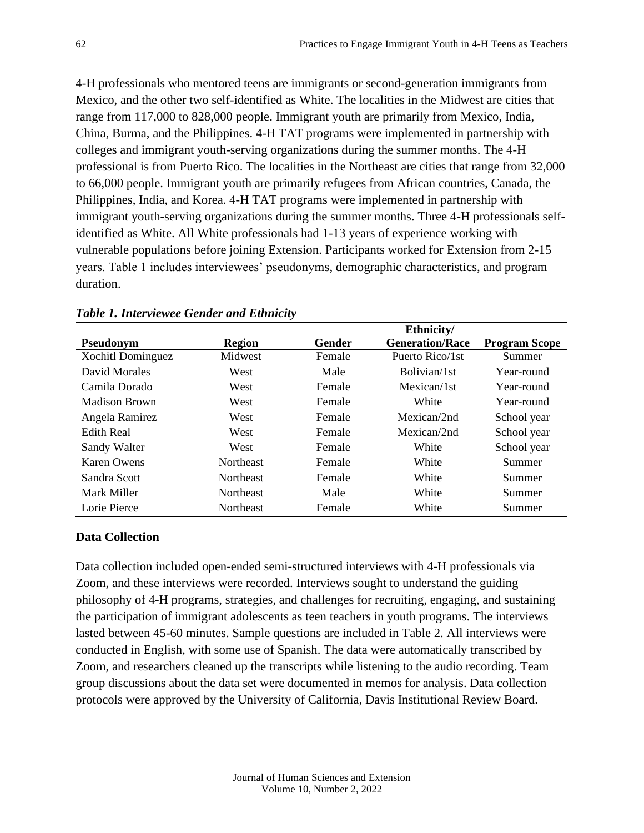4-H professionals who mentored teens are immigrants or second-generation immigrants from Mexico, and the other two self-identified as White. The localities in the Midwest are cities that range from 117,000 to 828,000 people. Immigrant youth are primarily from Mexico, India, China, Burma, and the Philippines. 4-H TAT programs were implemented in partnership with colleges and immigrant youth-serving organizations during the summer months. The 4-H professional is from Puerto Rico. The localities in the Northeast are cities that range from 32,000 to 66,000 people. Immigrant youth are primarily refugees from African countries, Canada, the Philippines, India, and Korea. 4-H TAT programs were implemented in partnership with immigrant youth-serving organizations during the summer months. Three 4-H professionals selfidentified as White. All White professionals had 1-13 years of experience working with vulnerable populations before joining Extension. Participants worked for Extension from 2-15 years. Table 1 includes interviewees' pseudonyms, demographic characteristics, and program duration.

|                   |                  |        | Ethnicity/             |                      |
|-------------------|------------------|--------|------------------------|----------------------|
| Pseudonym         | <b>Region</b>    | Gender | <b>Generation/Race</b> | <b>Program Scope</b> |
| Xochitl Dominguez | Midwest          | Female | Puerto Rico/1st        | Summer               |
| David Morales     | West             | Male   | Bolivian/1st           | Year-round           |
| Camila Dorado     | West             | Female | Mexican/1st            | Year-round           |
| Madison Brown     | West             | Female | White                  | Year-round           |
| Angela Ramirez    | West             | Female | Mexican/2nd            | School year          |
| Edith Real        | West             | Female | Mexican/2nd            | School year          |
| Sandy Walter      | West             | Female | White                  | School year          |
| Karen Owens       | <b>Northeast</b> | Female | White                  | Summer               |
| Sandra Scott      | <b>Northeast</b> | Female | White                  | Summer               |
| Mark Miller       | <b>Northeast</b> | Male   | White                  | Summer               |
| Lorie Pierce      | Northeast        | Female | White                  | Summer               |

#### *Table 1. Interviewee Gender and Ethnicity*

## **Data Collection**

Data collection included open-ended semi-structured interviews with 4-H professionals via Zoom, and these interviews were recorded. Interviews sought to understand the guiding philosophy of 4-H programs, strategies, and challenges for recruiting, engaging, and sustaining the participation of immigrant adolescents as teen teachers in youth programs. The interviews lasted between 45-60 minutes. Sample questions are included in Table 2. All interviews were conducted in English, with some use of Spanish. The data were automatically transcribed by Zoom, and researchers cleaned up the transcripts while listening to the audio recording. Team group discussions about the data set were documented in memos for analysis. Data collection protocols were approved by the University of California, Davis Institutional Review Board.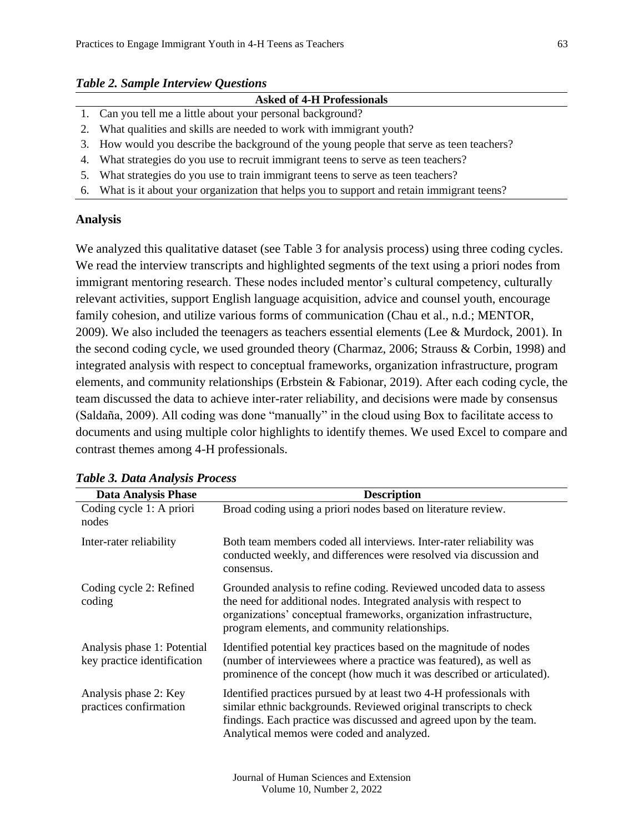#### *Table 2. Sample Interview Questions*

|  |  | <b>Asked of 4-H Professionals</b> |
|--|--|-----------------------------------|
|  |  |                                   |

- 1. Can you tell me a little about your personal background?
- 2. What qualities and skills are needed to work with immigrant youth?
- 3. How would you describe the background of the young people that serve as teen teachers?
- 4. What strategies do you use to recruit immigrant teens to serve as teen teachers?
- 5. What strategies do you use to train immigrant teens to serve as teen teachers?
- 6. What is it about your organization that helps you to support and retain immigrant teens?

## **Analysis**

We analyzed this qualitative dataset (see Table 3 for analysis process) using three coding cycles. We read the interview transcripts and highlighted segments of the text using a priori nodes from immigrant mentoring research. These nodes included mentor's cultural competency, culturally relevant activities, support English language acquisition, advice and counsel youth, encourage family cohesion, and utilize various forms of communication (Chau et al., n.d.; MENTOR, 2009). We also included the teenagers as teachers essential elements (Lee & Murdock, 2001). In the second coding cycle, we used grounded theory (Charmaz, 2006; Strauss & Corbin, 1998) and integrated analysis with respect to conceptual frameworks, organization infrastructure, program elements, and community relationships (Erbstein & Fabionar, 2019). After each coding cycle, the team discussed the data to achieve inter-rater reliability, and decisions were made by consensus (Saldaña, 2009). All coding was done "manually" in the cloud using Box to facilitate access to documents and using multiple color highlights to identify themes. We used Excel to compare and contrast themes among 4-H professionals.

| <b>Data Analysis Phase</b>                                 | <b>Description</b>                                                                                                                                                                                                                                                |
|------------------------------------------------------------|-------------------------------------------------------------------------------------------------------------------------------------------------------------------------------------------------------------------------------------------------------------------|
| Coding cycle 1: A priori<br>nodes                          | Broad coding using a priori nodes based on literature review.                                                                                                                                                                                                     |
| Inter-rater reliability                                    | Both team members coded all interviews. Inter-rater reliability was<br>conducted weekly, and differences were resolved via discussion and<br>consensus.                                                                                                           |
| Coding cycle 2: Refined<br>coding                          | Grounded analysis to refine coding. Reviewed uncoded data to assess<br>the need for additional nodes. Integrated analysis with respect to<br>organizations' conceptual frameworks, organization infrastructure,<br>program elements, and community relationships. |
| Analysis phase 1: Potential<br>key practice identification | Identified potential key practices based on the magnitude of nodes<br>(number of interviewees where a practice was featured), as well as<br>prominence of the concept (how much it was described or articulated).                                                 |
| Analysis phase 2: Key<br>practices confirmation            | Identified practices pursued by at least two 4-H professionals with<br>similar ethnic backgrounds. Reviewed original transcripts to check<br>findings. Each practice was discussed and agreed upon by the team.<br>Analytical memos were coded and analyzed.      |

## *Table 3. Data Analysis Process*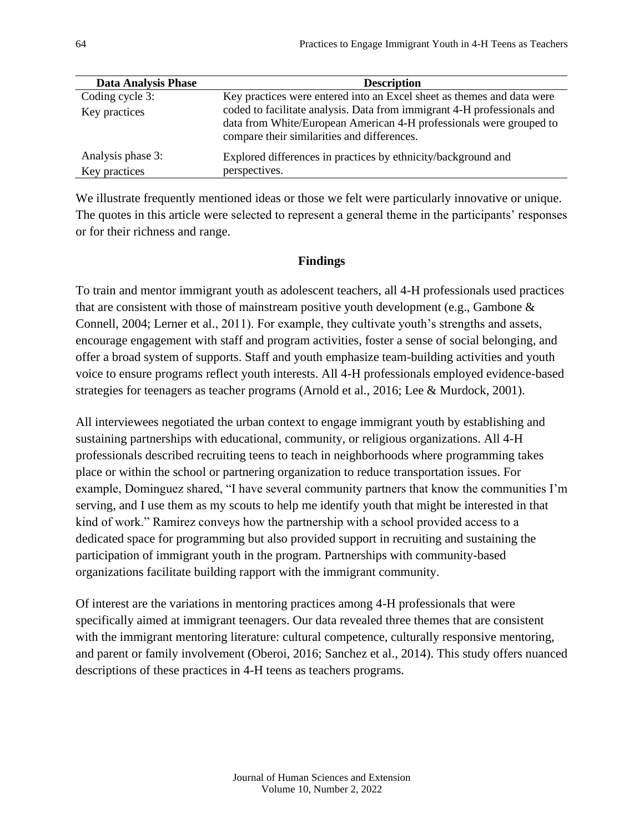| <b>Data Analysis Phase</b> | <b>Description</b>                                                                                                 |
|----------------------------|--------------------------------------------------------------------------------------------------------------------|
| Coding cycle 3:            | Key practices were entered into an Excel sheet as themes and data were                                             |
| Key practices              | coded to facilitate analysis. Data from immigrant 4-H professionals and                                            |
|                            | data from White/European American 4-H professionals were grouped to<br>compare their similarities and differences. |
| Analysis phase 3:          | Explored differences in practices by ethnicity/background and                                                      |
| Key practices              | perspectives.                                                                                                      |

We illustrate frequently mentioned ideas or those we felt were particularly innovative or unique. The quotes in this article were selected to represent a general theme in the participants' responses or for their richness and range.

## **Findings**

To train and mentor immigrant youth as adolescent teachers, all 4-H professionals used practices that are consistent with those of mainstream positive youth development (e.g., Gambone  $\&$ Connell, 2004; Lerner et al., 2011). For example, they cultivate youth's strengths and assets, encourage engagement with staff and program activities, foster a sense of social belonging, and offer a broad system of supports. Staff and youth emphasize team-building activities and youth voice to ensure programs reflect youth interests. All 4-H professionals employed evidence-based strategies for teenagers as teacher programs (Arnold et al., 2016; Lee & Murdock, 2001).

All interviewees negotiated the urban context to engage immigrant youth by establishing and sustaining partnerships with educational, community, or religious organizations. All 4-H professionals described recruiting teens to teach in neighborhoods where programming takes place or within the school or partnering organization to reduce transportation issues. For example, Dominguez shared, "I have several community partners that know the communities I'm serving, and I use them as my scouts to help me identify youth that might be interested in that kind of work." Ramirez conveys how the partnership with a school provided access to a dedicated space for programming but also provided support in recruiting and sustaining the participation of immigrant youth in the program. Partnerships with community-based organizations facilitate building rapport with the immigrant community.

Of interest are the variations in mentoring practices among 4-H professionals that were specifically aimed at immigrant teenagers. Our data revealed three themes that are consistent with the immigrant mentoring literature: cultural competence, culturally responsive mentoring, and parent or family involvement (Oberoi, 2016; Sanchez et al., 2014). This study offers nuanced descriptions of these practices in 4-H teens as teachers programs.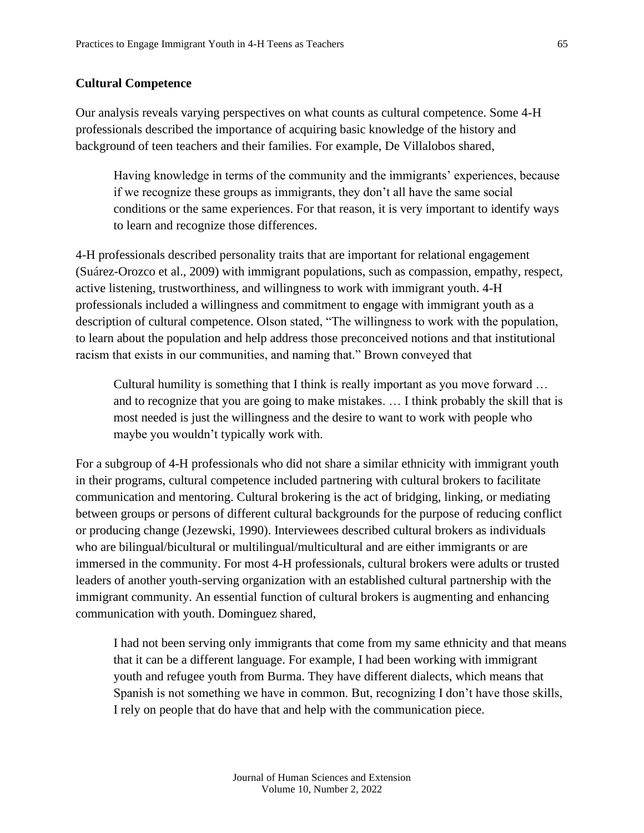#### **Cultural Competence**

Our analysis reveals varying perspectives on what counts as cultural competence. Some 4-H professionals described the importance of acquiring basic knowledge of the history and background of teen teachers and their families. For example, De Villalobos shared,

Having knowledge in terms of the community and the immigrants' experiences, because if we recognize these groups as immigrants, they don't all have the same social conditions or the same experiences. For that reason, it is very important to identify ways to learn and recognize those differences.

4-H professionals described personality traits that are important for relational engagement (Suárez-Orozco et al., 2009) with immigrant populations, such as compassion, empathy, respect, active listening, trustworthiness, and willingness to work with immigrant youth. 4-H professionals included a willingness and commitment to engage with immigrant youth as a description of cultural competence. Olson stated, "The willingness to work with the population, to learn about the population and help address those preconceived notions and that institutional racism that exists in our communities, and naming that." Brown conveyed that

Cultural humility is something that I think is really important as you move forward … and to recognize that you are going to make mistakes. … I think probably the skill that is most needed is just the willingness and the desire to want to work with people who maybe you wouldn't typically work with.

For a subgroup of 4-H professionals who did not share a similar ethnicity with immigrant youth in their programs, cultural competence included partnering with cultural brokers to facilitate communication and mentoring. Cultural brokering is the act of bridging, linking, or mediating between groups or persons of different cultural backgrounds for the purpose of reducing conflict or producing change (Jezewski, 1990). Interviewees described cultural brokers as individuals who are bilingual/bicultural or multilingual/multicultural and are either immigrants or are immersed in the community. For most 4-H professionals, cultural brokers were adults or trusted leaders of another youth-serving organization with an established cultural partnership with the immigrant community. An essential function of cultural brokers is augmenting and enhancing communication with youth. Dominguez shared,

I had not been serving only immigrants that come from my same ethnicity and that means that it can be a different language. For example, I had been working with immigrant youth and refugee youth from Burma. They have different dialects, which means that Spanish is not something we have in common. But, recognizing I don't have those skills, I rely on people that do have that and help with the communication piece.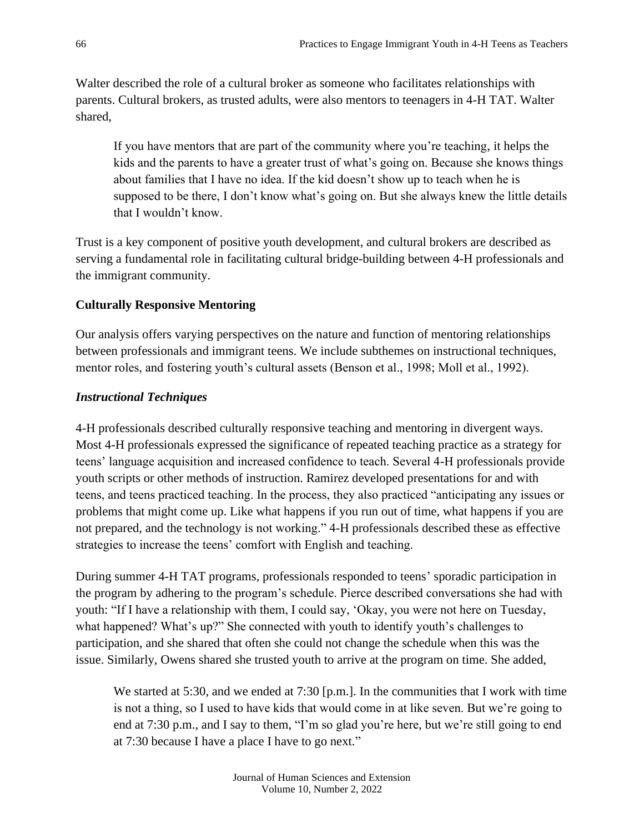Walter described the role of a cultural broker as someone who facilitates relationships with parents. Cultural brokers, as trusted adults, were also mentors to teenagers in 4-H TAT. Walter shared,

If you have mentors that are part of the community where you're teaching, it helps the kids and the parents to have a greater trust of what's going on. Because she knows things about families that I have no idea. If the kid doesn't show up to teach when he is supposed to be there, I don't know what's going on. But she always knew the little details that I wouldn't know.

Trust is a key component of positive youth development, and cultural brokers are described as serving a fundamental role in facilitating cultural bridge-building between 4-H professionals and the immigrant community.

## **Culturally Responsive Mentoring**

Our analysis offers varying perspectives on the nature and function of mentoring relationships between professionals and immigrant teens. We include subthemes on instructional techniques, mentor roles, and fostering youth's cultural assets (Benson et al., 1998; Moll et al., 1992).

## *Instructional Techniques*

4-H professionals described culturally responsive teaching and mentoring in divergent ways. Most 4-H professionals expressed the significance of repeated teaching practice as a strategy for teens' language acquisition and increased confidence to teach. Several 4-H professionals provide youth scripts or other methods of instruction. Ramirez developed presentations for and with teens, and teens practiced teaching. In the process, they also practiced "anticipating any issues or problems that might come up. Like what happens if you run out of time, what happens if you are not prepared, and the technology is not working." 4-H professionals described these as effective strategies to increase the teens' comfort with English and teaching.

During summer 4-H TAT programs, professionals responded to teens' sporadic participation in the program by adhering to the program's schedule. Pierce described conversations she had with youth: "If I have a relationship with them, I could say, 'Okay, you were not here on Tuesday, what happened? What's up?" She connected with youth to identify youth's challenges to participation, and she shared that often she could not change the schedule when this was the issue. Similarly, Owens shared she trusted youth to arrive at the program on time. She added,

We started at 5:30, and we ended at 7:30 [p.m.]. In the communities that I work with time is not a thing, so I used to have kids that would come in at like seven. But we're going to end at 7:30 p.m., and I say to them, "I'm so glad you're here, but we're still going to end at 7:30 because I have a place I have to go next."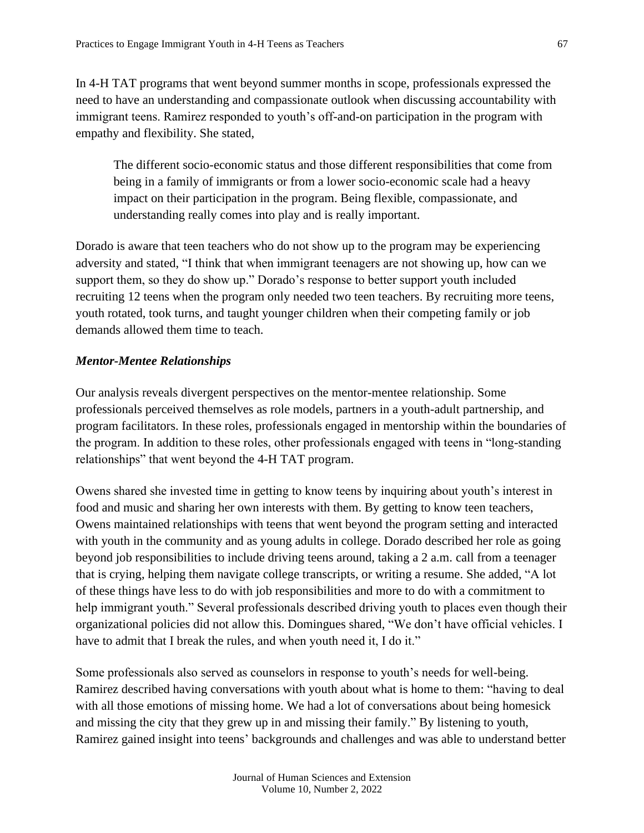In 4-H TAT programs that went beyond summer months in scope, professionals expressed the need to have an understanding and compassionate outlook when discussing accountability with immigrant teens. Ramirez responded to youth's off-and-on participation in the program with empathy and flexibility. She stated,

The different socio-economic status and those different responsibilities that come from being in a family of immigrants or from a lower socio-economic scale had a heavy impact on their participation in the program. Being flexible, compassionate, and understanding really comes into play and is really important.

Dorado is aware that teen teachers who do not show up to the program may be experiencing adversity and stated, "I think that when immigrant teenagers are not showing up, how can we support them, so they do show up." Dorado's response to better support youth included recruiting 12 teens when the program only needed two teen teachers. By recruiting more teens, youth rotated, took turns, and taught younger children when their competing family or job demands allowed them time to teach.

## *Mentor-Mentee Relationships*

Our analysis reveals divergent perspectives on the mentor-mentee relationship. Some professionals perceived themselves as role models, partners in a youth-adult partnership, and program facilitators. In these roles, professionals engaged in mentorship within the boundaries of the program. In addition to these roles, other professionals engaged with teens in "long-standing relationships" that went beyond the 4-H TAT program.

Owens shared she invested time in getting to know teens by inquiring about youth's interest in food and music and sharing her own interests with them. By getting to know teen teachers, Owens maintained relationships with teens that went beyond the program setting and interacted with youth in the community and as young adults in college. Dorado described her role as going beyond job responsibilities to include driving teens around, taking a 2 a.m. call from a teenager that is crying, helping them navigate college transcripts, or writing a resume. She added, "A lot of these things have less to do with job responsibilities and more to do with a commitment to help immigrant youth." Several professionals described driving youth to places even though their organizational policies did not allow this. Domingues shared, "We don't have official vehicles. I have to admit that I break the rules, and when youth need it, I do it."

Some professionals also served as counselors in response to youth's needs for well-being. Ramirez described having conversations with youth about what is home to them: "having to deal with all those emotions of missing home. We had a lot of conversations about being homesick and missing the city that they grew up in and missing their family." By listening to youth, Ramirez gained insight into teens' backgrounds and challenges and was able to understand better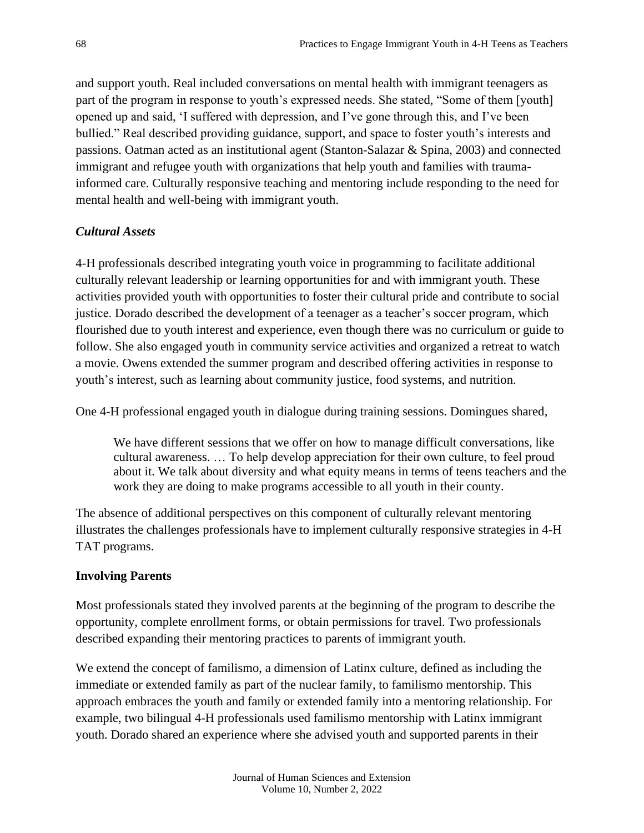and support youth. Real included conversations on mental health with immigrant teenagers as part of the program in response to youth's expressed needs. She stated, "Some of them [youth] opened up and said, 'I suffered with depression, and I've gone through this, and I've been bullied." Real described providing guidance, support, and space to foster youth's interests and passions. Oatman acted as an institutional agent (Stanton-Salazar & Spina, 2003) and connected immigrant and refugee youth with organizations that help youth and families with traumainformed care. Culturally responsive teaching and mentoring include responding to the need for mental health and well-being with immigrant youth.

## *Cultural Assets*

4-H professionals described integrating youth voice in programming to facilitate additional culturally relevant leadership or learning opportunities for and with immigrant youth. These activities provided youth with opportunities to foster their cultural pride and contribute to social justice. Dorado described the development of a teenager as a teacher's soccer program, which flourished due to youth interest and experience, even though there was no curriculum or guide to follow. She also engaged youth in community service activities and organized a retreat to watch a movie. Owens extended the summer program and described offering activities in response to youth's interest, such as learning about community justice, food systems, and nutrition.

One 4-H professional engaged youth in dialogue during training sessions. Domingues shared,

We have different sessions that we offer on how to manage difficult conversations, like cultural awareness. … To help develop appreciation for their own culture, to feel proud about it. We talk about diversity and what equity means in terms of teens teachers and the work they are doing to make programs accessible to all youth in their county.

The absence of additional perspectives on this component of culturally relevant mentoring illustrates the challenges professionals have to implement culturally responsive strategies in 4-H TAT programs.

## **Involving Parents**

Most professionals stated they involved parents at the beginning of the program to describe the opportunity, complete enrollment forms, or obtain permissions for travel. Two professionals described expanding their mentoring practices to parents of immigrant youth.

We extend the concept of familismo, a dimension of Latinx culture, defined as including the immediate or extended family as part of the nuclear family, to familismo mentorship. This approach embraces the youth and family or extended family into a mentoring relationship. For example, two bilingual 4-H professionals used familismo mentorship with Latinx immigrant youth. Dorado shared an experience where she advised youth and supported parents in their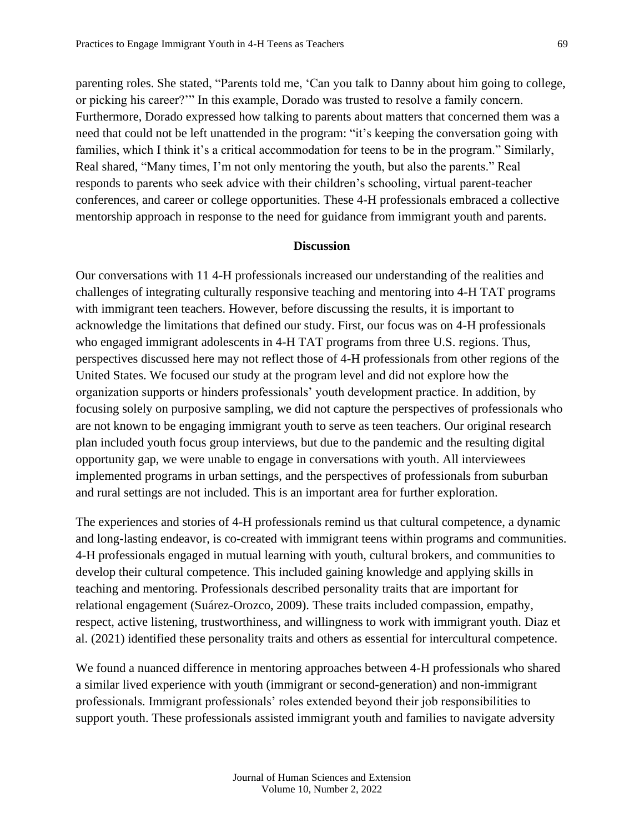parenting roles. She stated, "Parents told me, 'Can you talk to Danny about him going to college, or picking his career?'" In this example, Dorado was trusted to resolve a family concern. Furthermore, Dorado expressed how talking to parents about matters that concerned them was a need that could not be left unattended in the program: "it's keeping the conversation going with families, which I think it's a critical accommodation for teens to be in the program." Similarly, Real shared, "Many times, I'm not only mentoring the youth, but also the parents." Real responds to parents who seek advice with their children's schooling, virtual parent-teacher conferences, and career or college opportunities. These 4-H professionals embraced a collective mentorship approach in response to the need for guidance from immigrant youth and parents.

#### **Discussion**

Our conversations with 11 4-H professionals increased our understanding of the realities and challenges of integrating culturally responsive teaching and mentoring into 4-H TAT programs with immigrant teen teachers. However, before discussing the results, it is important to acknowledge the limitations that defined our study. First, our focus was on 4-H professionals who engaged immigrant adolescents in 4-H TAT programs from three U.S. regions. Thus, perspectives discussed here may not reflect those of 4-H professionals from other regions of the United States. We focused our study at the program level and did not explore how the organization supports or hinders professionals' youth development practice. In addition, by focusing solely on purposive sampling, we did not capture the perspectives of professionals who are not known to be engaging immigrant youth to serve as teen teachers. Our original research plan included youth focus group interviews, but due to the pandemic and the resulting digital opportunity gap, we were unable to engage in conversations with youth. All interviewees implemented programs in urban settings, and the perspectives of professionals from suburban and rural settings are not included. This is an important area for further exploration.

The experiences and stories of 4-H professionals remind us that cultural competence, a dynamic and long-lasting endeavor, is co-created with immigrant teens within programs and communities. 4-H professionals engaged in mutual learning with youth, cultural brokers, and communities to develop their cultural competence. This included gaining knowledge and applying skills in teaching and mentoring. Professionals described personality traits that are important for relational engagement (Suárez-Orozco, 2009). These traits included compassion, empathy, respect, active listening, trustworthiness, and willingness to work with immigrant youth. Diaz et al. (2021) identified these personality traits and others as essential for intercultural competence.

We found a nuanced difference in mentoring approaches between 4-H professionals who shared a similar lived experience with youth (immigrant or second-generation) and non-immigrant professionals. Immigrant professionals' roles extended beyond their job responsibilities to support youth. These professionals assisted immigrant youth and families to navigate adversity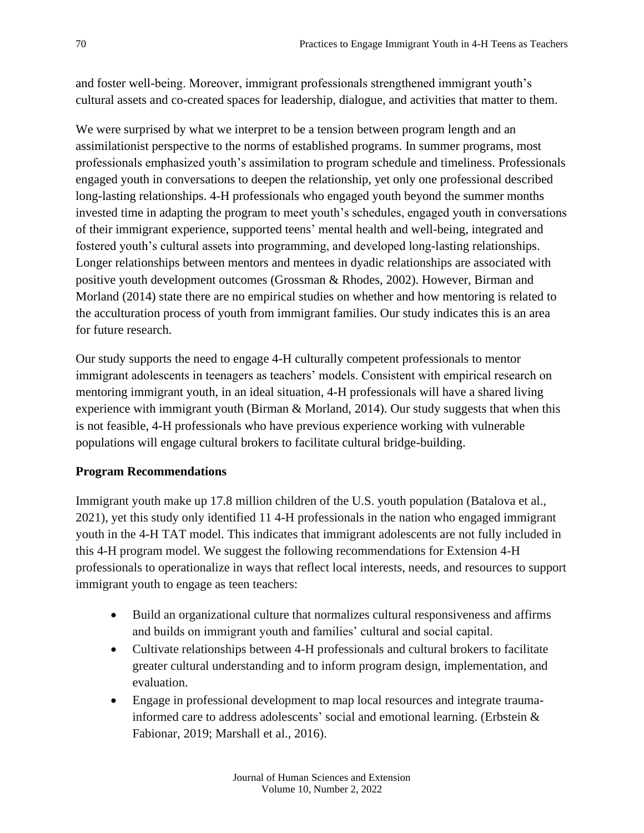and foster well-being. Moreover, immigrant professionals strengthened immigrant youth's cultural assets and co-created spaces for leadership, dialogue, and activities that matter to them.

We were surprised by what we interpret to be a tension between program length and an assimilationist perspective to the norms of established programs. In summer programs, most professionals emphasized youth's assimilation to program schedule and timeliness. Professionals engaged youth in conversations to deepen the relationship, yet only one professional described long-lasting relationships. 4-H professionals who engaged youth beyond the summer months invested time in adapting the program to meet youth's schedules, engaged youth in conversations of their immigrant experience, supported teens' mental health and well-being, integrated and fostered youth's cultural assets into programming, and developed long-lasting relationships. Longer relationships between mentors and mentees in dyadic relationships are associated with positive youth development outcomes (Grossman & Rhodes, 2002). However, Birman and Morland (2014) state there are no empirical studies on whether and how mentoring is related to the acculturation process of youth from immigrant families. Our study indicates this is an area for future research.

Our study supports the need to engage 4-H culturally competent professionals to mentor immigrant adolescents in teenagers as teachers' models. Consistent with empirical research on mentoring immigrant youth, in an ideal situation, 4-H professionals will have a shared living experience with immigrant youth (Birman & Morland, 2014). Our study suggests that when this is not feasible, 4-H professionals who have previous experience working with vulnerable populations will engage cultural brokers to facilitate cultural bridge-building.

## **Program Recommendations**

Immigrant youth make up 17.8 million children of the U.S. youth population (Batalova et al., 2021), yet this study only identified 11 4-H professionals in the nation who engaged immigrant youth in the 4-H TAT model. This indicates that immigrant adolescents are not fully included in this 4-H program model. We suggest the following recommendations for Extension 4-H professionals to operationalize in ways that reflect local interests, needs, and resources to support immigrant youth to engage as teen teachers:

- Build an organizational culture that normalizes cultural responsiveness and affirms and builds on immigrant youth and families' cultural and social capital.
- Cultivate relationships between 4-H professionals and cultural brokers to facilitate greater cultural understanding and to inform program design, implementation, and evaluation.
- Engage in professional development to map local resources and integrate traumainformed care to address adolescents' social and emotional learning. (Erbstein & Fabionar, 2019; Marshall et al., 2016).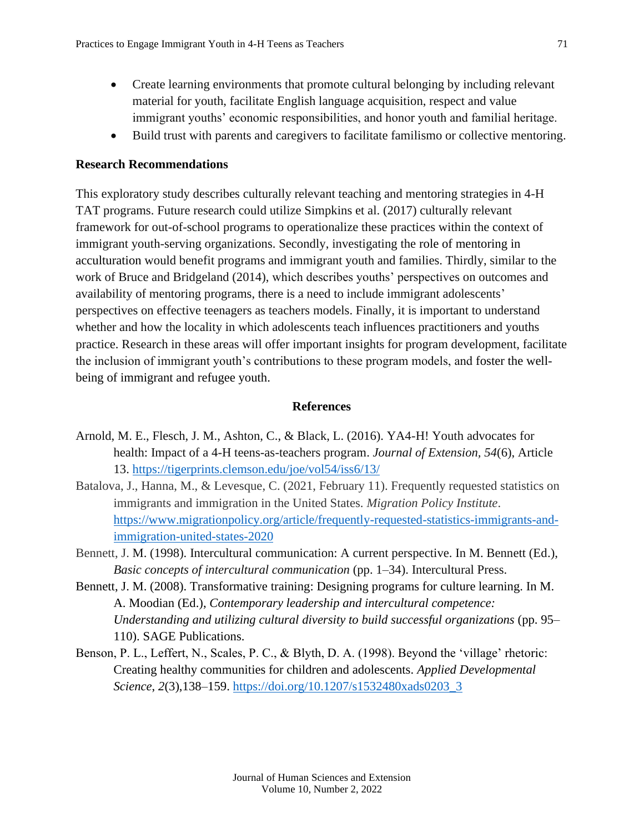- Create learning environments that promote cultural belonging by including relevant material for youth, facilitate English language acquisition, respect and value immigrant youths' economic responsibilities, and honor youth and familial heritage.
- Build trust with parents and caregivers to facilitate familismo or collective mentoring.

#### **Research Recommendations**

This exploratory study describes culturally relevant teaching and mentoring strategies in 4-H TAT programs. Future research could utilize Simpkins et al. (2017) culturally relevant framework for out-of-school programs to operationalize these practices within the context of immigrant youth-serving organizations. Secondly, investigating the role of mentoring in acculturation would benefit programs and immigrant youth and families. Thirdly, similar to the work of Bruce and Bridgeland (2014), which describes youths' perspectives on outcomes and availability of mentoring programs, there is a need to include immigrant adolescents' perspectives on effective teenagers as teachers models. Finally, it is important to understand whether and how the locality in which adolescents teach influences practitioners and youths practice. Research in these areas will offer important insights for program development, facilitate the inclusion of immigrant youth's contributions to these program models, and foster the wellbeing of immigrant and refugee youth.

#### **References**

- Arnold, M. E., Flesch, J. M., Ashton, C., & Black, L. (2016). YA4-H! Youth advocates for health: Impact of a 4-H teens-as-teachers program. *Journal of Extension, 54*(6), Article 13.<https://tigerprints.clemson.edu/joe/vol54/iss6/13/>
- Batalova, J., Hanna, M., & Levesque, C. (2021, February 11). Frequently requested statistics on immigrants and immigration in the United States. *Migration Policy Institute*. [https://www.migrationpolicy.org/article/frequently-requested-statistics-immigrants-and](https://www.migrationpolicy.org/article/frequently-requested-statistics-immigrants-and-immigration-united-states-2020)[immigration-united-states-2020](https://www.migrationpolicy.org/article/frequently-requested-statistics-immigrants-and-immigration-united-states-2020)
- Bennett, J. M. (1998). Intercultural communication: A current perspective. In M. Bennett (Ed.), *Basic concepts of intercultural communication* (pp. 1–34). Intercultural Press.
- Bennett, J. M. (2008). Transformative training: Designing programs for culture learning. In M. A. Moodian (Ed.), *Contemporary leadership and intercultural competence: Understanding and utilizing cultural diversity to build successful organizations* (pp. 95– 110). SAGE Publications.
- Benson, P. L., Leffert, N., Scales, P. C., & Blyth, D. A. (1998). Beyond the 'village' rhetoric: Creating healthy communities for children and adolescents. *Applied Developmental Science*, *2*(3),138–159. [https://doi.org/10.1207/s1532480xads0203\\_3](https://doi.org/10.1207/s1532480xads0203_3)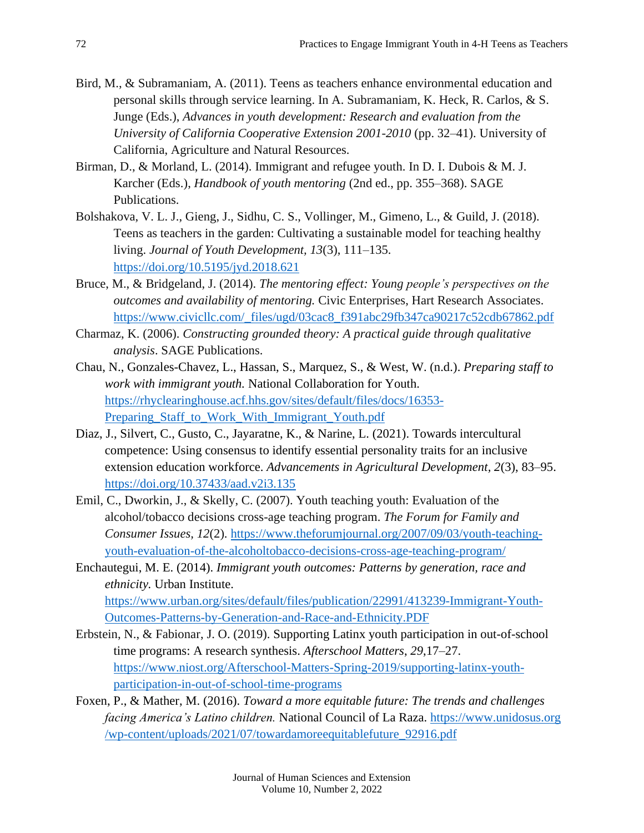- Bird, M., & Subramaniam, A. (2011). Teens as teachers enhance environmental education and personal skills through service learning. In A. Subramaniam, K. Heck, R. Carlos, & S. Junge (Eds.), *Advances in youth development: Research and evaluation from the University of California Cooperative Extension 2001-2010* (pp. 32–41). University of California, Agriculture and Natural Resources.
- Birman, D., & Morland, L. (2014). Immigrant and refugee youth. In D. I. Dubois & M. J. Karcher (Eds.), *Handbook of youth mentoring* (2nd ed., pp. 355–368). SAGE Publications.
- Bolshakova, V. L. J., Gieng, J., Sidhu, C. S., Vollinger, M., Gimeno, L., & Guild, J. (2018). Teens as teachers in the garden: Cultivating a sustainable model for teaching healthy living. *Journal of Youth Development, 13*(3), 111–135. <https://doi.org/10.5195/jyd.2018.621>
- Bruce, M., & Bridgeland, J. (2014). *The mentoring effect: Young people's perspectives on the outcomes and availability of mentoring.* Civic Enterprises, Hart Research Associates. [https://www.civicllc.com/\\_files/ugd/03cac8\\_f391abc29fb347ca90217c52cdb67862.pdf](https://www.civicllc.com/_files/ugd/03cac8_f391abc29fb347ca90217c52cdb67862.pdf)
- Charmaz, K. (2006). *Constructing grounded theory: A practical guide through qualitative analysis*. SAGE Publications.
- Chau, N., Gonzales-Chavez, L., Hassan, S., Marquez, S., & West, W. (n.d.). *Preparing staff to work with immigrant youth.* National Collaboration for Youth. [https://rhyclearinghouse.acf.hhs.gov/sites/default/files/docs/16353-](https://rhyclearinghouse.acf.hhs.gov/sites/default/files/docs/16353-Preparing_Staff_to_Work_With_Immigrant_Youth.pdf) Preparing Staff to Work With Immigrant Youth.pdf
- Diaz, J., Silvert, C., Gusto, C., Jayaratne, K., & Narine, L. (2021). Towards intercultural competence: Using consensus to identify essential personality traits for an inclusive extension education workforce. *Advancements in Agricultural Development, 2*(3), 83–95. <https://doi.org/10.37433/aad.v2i3.135>
- Emil, C., Dworkin, J., & Skelly, C. (2007). Youth teaching youth: Evaluation of the alcohol/tobacco decisions cross-age teaching program. *The Forum for Family and Consumer Issues, 12*(2). [https://www.theforumjournal.org/2007/09/03/youth-teaching](https://www.theforumjournal.org/2007/09/03/youth-teaching-youth-evaluation-of-the-alcoholtobacco-decisions-cross-age-teaching-program/)[youth-evaluation-of-the-alcoholtobacco-decisions-cross-age-teaching-program/](https://www.theforumjournal.org/2007/09/03/youth-teaching-youth-evaluation-of-the-alcoholtobacco-decisions-cross-age-teaching-program/)
- Enchautegui, M. E. (2014). *Immigrant youth outcomes: Patterns by generation, race and ethnicity.* Urban Institute. [https://www.urban.org/sites/default/files/publication/22991/413239-Immigrant-Youth-](https://www.urban.org/sites/default/files/publication/22991/413239-Immigrant-Youth-Outcomes-Patterns-by-Generation-and-Race-and-Ethnicity.PDF)[Outcomes-Patterns-by-Generation-and-Race-and-Ethnicity.PDF](https://www.urban.org/sites/default/files/publication/22991/413239-Immigrant-Youth-Outcomes-Patterns-by-Generation-and-Race-and-Ethnicity.PDF)
- Erbstein, N., & Fabionar, J. O. (2019). Supporting Latinx youth participation in out-of-school time programs: A research synthesis. *Afterschool Matters*, *29*,17–27. [https://www.niost.org/Afterschool-Matters-Spring-2019/supporting-latinx-youth](https://www.niost.org/Afterschool-Matters-Spring-2019/supporting-latinx-youth-participation-in-out-of-school-time-programs)[participation-in-out-of-school-time-programs](https://www.niost.org/Afterschool-Matters-Spring-2019/supporting-latinx-youth-participation-in-out-of-school-time-programs)
- Foxen, P., & Mather, M. (2016). *Toward a more equitable future: The trends and challenges facing America's Latino children.* National Council of La Raza. [https://www.unidosus.org](https://www.unidosus.org/wp-content/uploads/2021/07/towardamoreequitablefuture_92916.pdf) [/wp-content/uploads/2021/07/towardamoreequitablefuture\\_92916.pdf](https://www.unidosus.org/wp-content/uploads/2021/07/towardamoreequitablefuture_92916.pdf)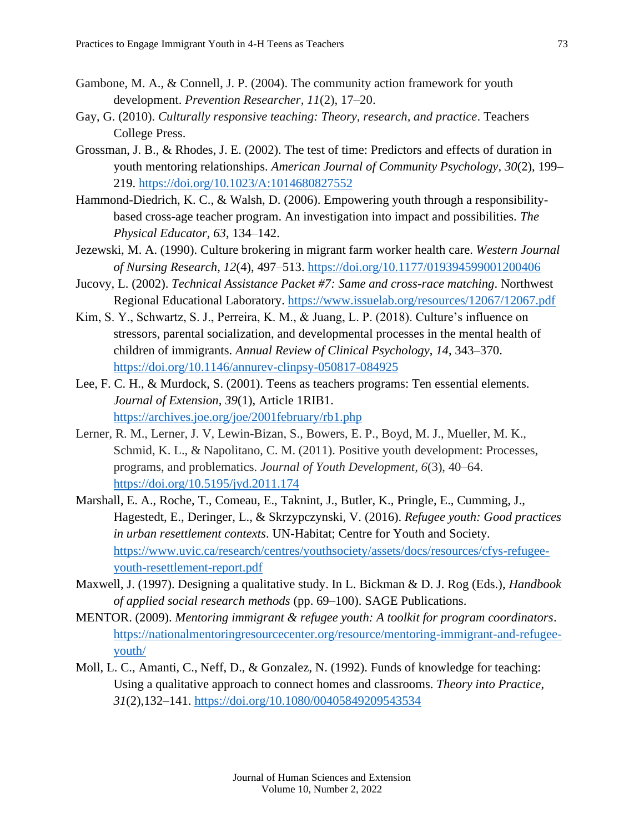- Gambone, M. A., & Connell, J. P. (2004). The community action framework for youth development. *Prevention Researcher, 11*(2), 17–20.
- Gay, G. (2010). *Culturally responsive teaching: Theory, research, and practice*. Teachers College Press.
- Grossman, J. B., & Rhodes, J. E. (2002). The test of time: Predictors and effects of duration in youth mentoring relationships. *American Journal of Community Psychology, 30*(2), 199– 219.<https://doi.org/10.1023/A:1014680827552>
- Hammond-Diedrich, K. C., & Walsh, D. (2006). Empowering youth through a responsibilitybased cross-age teacher program. An investigation into impact and possibilities. *The Physical Educator, 63*, 134–142.
- Jezewski, M. A. (1990). Culture brokering in migrant farm worker health care. *Western Journal of Nursing Research, 12*(4), 497–513.<https://doi.org/10.1177/019394599001200406>
- Jucovy, L. (2002). *Technical Assistance Packet #7: Same and cross-race matching*. Northwest Regional Educational Laboratory.<https://www.issuelab.org/resources/12067/12067.pdf>
- Kim, S. Y., Schwartz, S. J., Perreira, K. M., & Juang, L. P. (2018). Culture's influence on stressors, parental socialization, and developmental processes in the mental health of children of immigrants. *Annual Review of Clinical Psychology*, *14*, 343–370. <https://doi.org/10.1146/annurev-clinpsy-050817-084925>
- Lee, F. C. H., & Murdock, S. (2001). Teens as teachers programs: Ten essential elements. *Journal of Extension, 39*(1), Article 1RIB1. <https://archives.joe.org/joe/2001february/rb1.php>
- Lerner, R. M., Lerner, J. V, Lewin-Bizan, S., Bowers, E. P., Boyd, M. J., Mueller, M. K., Schmid, K. L., & Napolitano, C. M. (2011). Positive youth development: Processes, programs, and problematics. *Journal of Youth Development, 6*(3), 40–64. <https://doi.org/10.5195/jyd.2011.174>
- Marshall, E. A., Roche, T., Comeau, E., Taknint, J., Butler, K., Pringle, E., Cumming, J., Hagestedt, E., Deringer, L., & Skrzypczynski, V. (2016). *Refugee youth: Good practices in urban resettlement contexts*. UN-Habitat; Centre for Youth and Society. [https://www.uvic.ca/research/centres/youthsociety/assets/docs/resources/cfys-refugee](https://www.uvic.ca/research/centres/youthsociety/assets/docs/resources/cfys-refugee-youth-resettlement-report.pdf)[youth-resettlement-report.pdf](https://www.uvic.ca/research/centres/youthsociety/assets/docs/resources/cfys-refugee-youth-resettlement-report.pdf)
- Maxwell, J. (1997). Designing a qualitative study. In L. Bickman & D. J. Rog (Eds.), *Handbook of applied social research methods* (pp. 69–100). SAGE Publications.
- MENTOR. (2009). *Mentoring immigrant & refugee youth: A toolkit for program coordinators*. [https://nationalmentoringresourcecenter.org/resource/mentoring-immigrant-and-refugee](https://nationalmentoringresourcecenter.org/resource/mentoring-immigrant-and-refugee-youth/)[youth/](https://nationalmentoringresourcecenter.org/resource/mentoring-immigrant-and-refugee-youth/)
- Moll, L. C., Amanti, C., Neff, D., & Gonzalez, N. (1992). Funds of knowledge for teaching: Using a qualitative approach to connect homes and classrooms. *Theory into Practice*, *31*(2),132–141.<https://doi.org/10.1080/00405849209543534>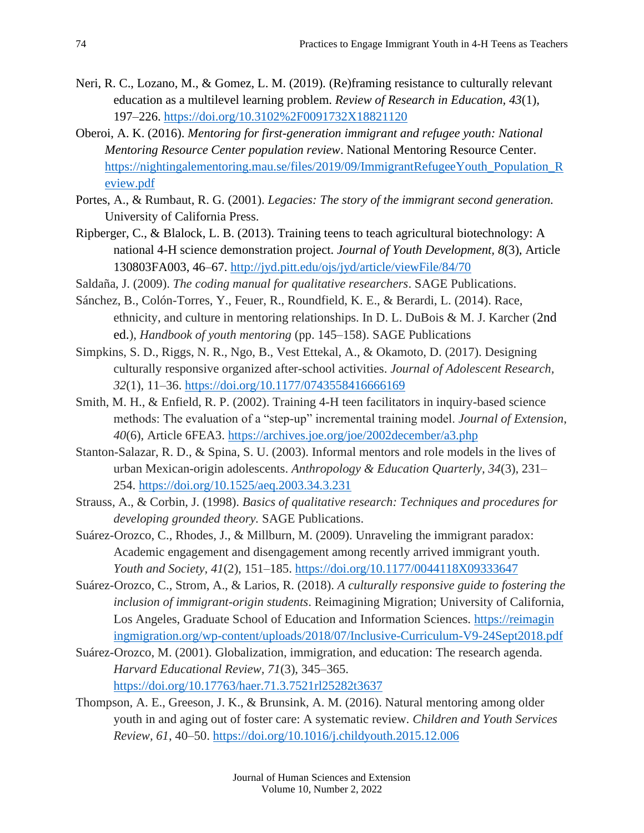- Neri, R. C., Lozano, M., & Gomez, L. M. (2019). (Re)framing resistance to culturally relevant education as a multilevel learning problem. *Review of Research in Education, 43*(1)*,*  197–226.<https://doi.org/10.3102%2F0091732X18821120>
- Oberoi, A. K. (2016). *Mentoring for first-generation immigrant and refugee youth: National Mentoring Resource Center population review*. National Mentoring Resource Center. [https://nightingalementoring.mau.se/files/2019/09/ImmigrantRefugeeYouth\\_Population\\_R](https://nightingalementoring.mau.se/files/2019/09/ImmigrantRefugeeYouth_Population_Review.pdf) [eview.pdf](https://nightingalementoring.mau.se/files/2019/09/ImmigrantRefugeeYouth_Population_Review.pdf)
- Portes, A., & Rumbaut, R. G. (2001). *Legacies: The story of the immigrant second generation.* University of California Press.
- Ripberger, C., & Blalock, L. B. (2013). Training teens to teach agricultural biotechnology: A national 4-H science demonstration project. *Journal of Youth Development, 8*(3), Article 130803FA003, 46–67.<http://jyd.pitt.edu/ojs/jyd/article/viewFile/84/70>
- Saldaña, J. (2009). *The coding manual for qualitative researchers*. SAGE Publications.
- Sánchez, B., Colón-Torres, Y., Feuer, R., Roundfield, K. E., & Berardi, L. (2014). Race, ethnicity, and culture in mentoring relationships. In D. L. DuBois & M. J. Karcher (2nd ed.), *Handbook of youth mentoring* (pp. 145–158). SAGE Publications
- Simpkins, S. D., Riggs, N. R., Ngo, B., Vest Ettekal, A., & Okamoto, D. (2017). Designing culturally responsive organized after-school activities. *Journal of Adolescent Research, 32*(1), 11–36.<https://doi.org/10.1177/0743558416666169>
- Smith, M. H., & Enfield, R. P. (2002). Training 4-H teen facilitators in inquiry-based science methods: The evaluation of a "step-up" incremental training model. *Journal of Extension*, *40*(6), Article 6FEA3.<https://archives.joe.org/joe/2002december/a3.php>
- Stanton-Salazar, R. D., & Spina, S. U. (2003). Informal mentors and role models in the lives of urban Mexican-origin adolescents. *Anthropology & Education Quarterly, 34*(3), 231– 254.<https://doi.org/10.1525/aeq.2003.34.3.231>
- Strauss, A., & Corbin, J. (1998). *Basics of qualitative research: Techniques and procedures for developing grounded theory.* SAGE Publications.
- Suárez-Orozco, C., Rhodes, J., & Millburn, M. (2009). Unraveling the immigrant paradox: Academic engagement and disengagement among recently arrived immigrant youth. *Youth and Society, 41*(2), 151–185.<https://doi.org/10.1177/0044118X09333647>
- Suárez-Orozco, C., Strom, A., & Larios, R. (2018). *A culturally responsive guide to fostering the inclusion of immigrant-origin students*. Reimagining Migration; University of California, Los Angeles, Graduate School of Education and Information Sciences. [https://reimagin](https://reimaginingmigration.org/wp-content/uploads/2018/07/Inclusive-Curriculum-V9-24Sept2018.pdf) [ingmigration.org/wp-content/uploads/2018/07/Inclusive-Curriculum-V9-24Sept2018.pdf](https://reimaginingmigration.org/wp-content/uploads/2018/07/Inclusive-Curriculum-V9-24Sept2018.pdf)
- Suárez-Orozco, M. (2001). Globalization, immigration, and education: The research agenda. *Harvard Educational Review, 71*(3), 345–365. <https://doi.org/10.17763/haer.71.3.7521rl25282t3637>
- Thompson, A. E., Greeson, J. K., & Brunsink, A. M. (2016). Natural mentoring among older youth in and aging out of foster care: A systematic review. *Children and Youth Services Review, 61*, 40–50.<https://doi.org/10.1016/j.childyouth.2015.12.006>